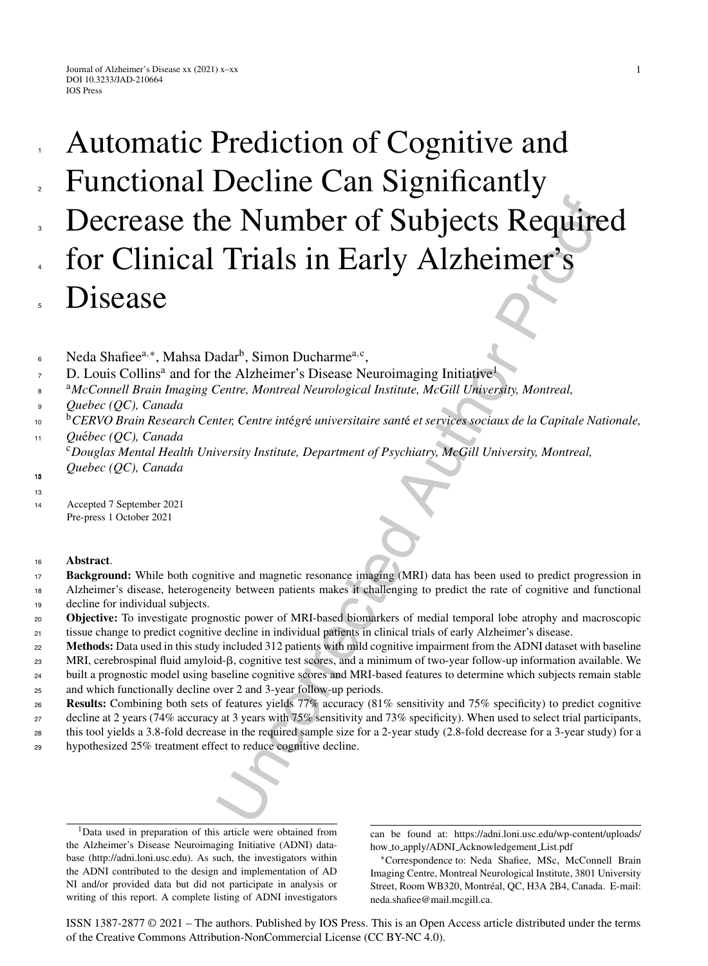# **COMPACT SUBJECTS Requires The CONSTREMONATE SCALE AUTHOR CONSTRESS**<br>
Readin<sup>b</sup>, Simon Ducharme<sup>n.c</sup>,<br>
the Alzheimer's Disease Neuroimaging Initiative<sup>1</sup><br>
Scale Authorities In Early Alzheimer's System entire and the straig Automatic Prediction of Cognitive and Functional Decline Can Significantly Decrease the Number of Subjects Required for Clinical Trials in Early Alzheimer's Disease 1 2 3 4 5

- Neda Shafiee<sup>a,∗</sup>, Mahsa Dadar<sup>b</sup>, Simon Ducharme<sup>a,c</sup>, 6
- D. Louis Collins<sup>a</sup> and for the Alzheimer's Disease Neuroimaging Initiative<sup>1</sup> 7
- <sup>a</sup>*McConnell Brain Imaging Centre, Montreal Neurological Institute, McGill University, Montreal,* **8**
- *Quebec (QC), Canada*  $\alpha$
- <sup>b</sup>CERVO Brain Research Center, Centre intégré universitaire santé et services sociaux de la Capitale Nationale, *Qu*e´*bec (QC), Canada* 10 11
- <sup>c</sup>*Douglas Mental Health University Institute, Department of Psychiatry, McGill University, Montreal, Quebec (QC), Canada*
- 13

<sup>14</sup> Accepted 7 September 2021 Pre-press 1 October 2021 13<br><sup>13</sup><br>Pre-press 1<br><sup>16</sup><br>**Abstract**.

- **Background:** While both cognitive and magnetic resonance imaging (MRI) data has been used to predict progression in Alzheimer's disease, heterogeneity between patients makes it challenging to predict the rate of cognitive and functional decline for individual subjects. 17 18 19
- **Objective:** To investigate prognostic power of MRI-based biomarkers of medial temporal lobe atrophy and macroscopic tissue change to predict cognitive decline in individual patients in clinical trials of early Alzheimer's disease. 20  $21$
- **Methods:** Data used in this study included 312 patients with mild cognitive impairment from the ADNI dataset with baseline 22
- MRI, cerebrospinal fluid amyloid-β, cognitive test scores, and a minimum of two-year follow-up information available. We 23
- built a prognostic model using baseline cognitive scores and MRI-based features to determine which subjects remain stable 24
- and which functionally decline over 2 and 3-year follow-up periods. 25
- **Results:** Combining both sets of features yields 77% accuracy (81% sensitivity and 75% specificity) to predict cognitive 26
- decline at 2 years (74% accuracy at 3 years with 75% sensitivity and 73% specificity). When used to select trial participants, <sub>27</sub>
- this tool yields a 3.8-fold decrease in the required sample size for a 2-year study (2.8-fold decrease for a 3-year study) for a hypothesized 25% treatment effect to reduce cognitive decline. 28 29

<sup>1</sup>Data used in preparation of this article were obtained from the Alzheimer's Disease Neuroimaging Initiative (ADNI) database (<http://adni.loni.usc.edu>). As such, the investigators within the ADNI contributed to the design and implementation of AD NI and/or provided data but did not participate in analysis or writing of this report. A complete listing of ADNI investigators

can be found at: [https://adni.loni.usc.edu/wp-content/uploads/](https://adni.loni.usc.edu/wp-content/uploads/how_to_apply/ADNI_Acknowledgement_List.pdf) how to apply/ADNI Acknowledgement List.pdf

ISSN 1387-2877 © 2021 – The authors. Published by IOS Press. This is an Open Access article distributed under the terms of the [Creative Commons Attribution-NonCommercial License \(CC BY-NC 4.0\).](https://creativecommons.org/licenses/by-nc/4.0/)

<sup>∗</sup>Correspondence to: Neda Shafiee, MSc, McConnell Brain Imaging Centre, Montreal Neurological Institute, 3801 University Street, Room WB320, Montréal, QC, H3A 2B4, Canada. E-mail: [neda.shafiee@mail.mcgill.ca.](mailto:neda.shafiee@mail.mcgill.ca)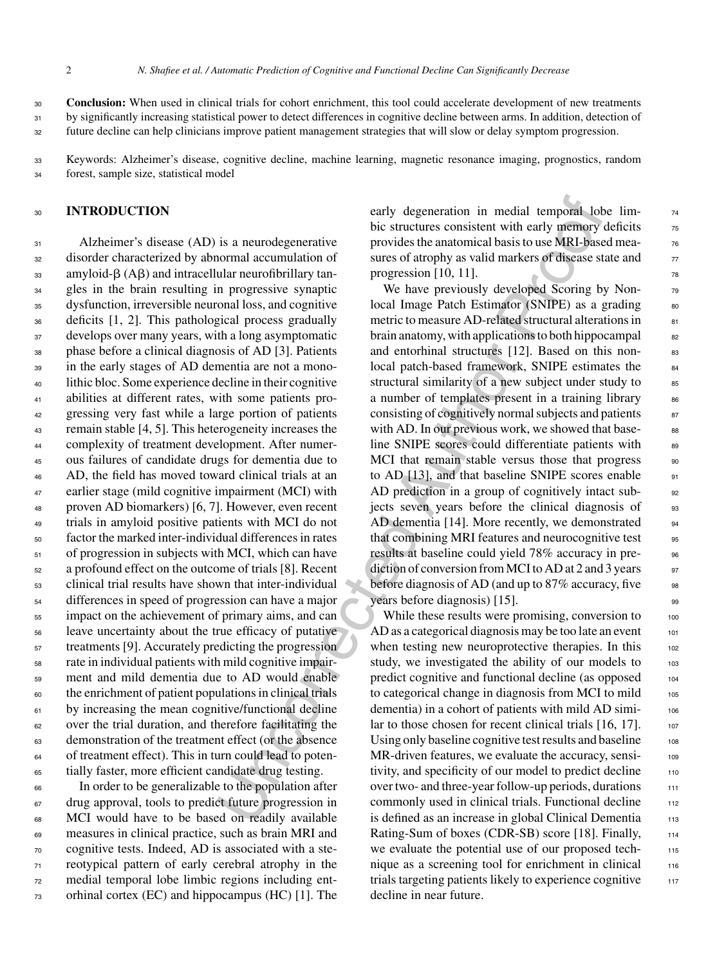**Conclusion:** When used in clinical trials for cohort enrichment, this tool could accelerate development of new treatments by significantly increasing statistical power to detect differences in cognitive decline between arms. In addition, detection of future decline can help clinicians improve patient management strategies that will slow or delay symptom progression. 30 31 32

Keywords: Alzheimer's disease, cognitive decline, machine learning, magnetic resonance imaging, prognostics, random forest, sample size, statistical model 33 34

## <sup>30</sup> **INTRODUCTION**

 Alzheimer's disease (AD) is a neurodegenerative disorder characterized by abnormal accumulation of  $_{33}$  amyloid- $\beta$  (A $\beta$ ) and intracellular neurofibrillary tan- gles in the brain resulting in progressive synaptic dysfunction, irreversible neuronal loss, and cognitive deficits [1, 2]. This pathological process gradually develops over many years, with a long asymptomatic phase before a clinical diagnosis of AD [3]. Patients in the early stages of AD dementia are not a mono- lithic bloc. Some experience decline in their cognitive abilities at different rates, with some patients pro- gressing very fast while a large portion of patients remain stable [4, 5]. This heterogeneity increases the complexity of treatment development. After numer- ous failures of candidate drugs for dementia due to AD, the field has moved toward clinical trials at an 47 earlier stage (mild cognitive impairment (MCI) with proven AD biomarkers) [6, 7]. However, even recent trials in amyloid positive patients with MCI do not factor the marked inter-individual differences in rates of progression in subjects with MCI, which can have a profound effect on the outcome of trials [8]. Recent clinical trial results have shown that inter-individual differences in speed of progression can have a major impact on the achievement of primary aims, and can leave uncertainty about the true efficacy of putative treatments [9]. Accurately predicting the progression rate in individual patients with mild cognitive impair- ment and mild dementia due to AD would enable the enrichment of patient populations in clinical trials by increasing the mean cognitive/functional decline over the trial duration, and therefore facilitating the demonstration of the treatment effect (or the absence of treatment effect). This in turn could lead to poten-tially faster, more efficient candidate drug testing.

 In order to be generalizable to the population after drug approval, tools to predict future progression in MCI would have to be based on readily available measures in clinical practice, such as brain MRI and cognitive tests. Indeed, AD is associated with a ste- reotypical pattern of early cerebral atrophy in the medial temporal lobe limbic regions including ent-orhinal cortex (EC) and hippocampus (HC) [1]. The

early degeneration in medial temporal lobe limbic structures consistent with early memory deficits  $\frac{75}{6}$ provides the anatomical basis to use MRI-based measures of atrophy as valid markers of disease state and  $\frac{77}{20}$ progression [10, 11].  $\frac{1}{78}$ 

early degeneration in medial temporal both the transfer in the structure consistent with early memory in a summer of the structure consistent (II), 11), the proposition proposition of the structure of the structure of the We have previously developed Scoring by Nonlocal Image Patch Estimator (SNIPE) as a grading  $80$ metric to measure AD-related structural alterations in <sup>81</sup> brain anatomy, with applications to both hippocampal  $\qquad$ and entorhinal structures [12]. Based on this nonlocal patch-based framework, SNIPE estimates the 84 structural similarity of a new subject under study to  $\frac{85}{100}$ a number of templates present in a training library set consisting of cognitively normal subjects and patients  $\frac{87}{2}$ with AD. In our previous work, we showed that baseline SNIPE scores could differentiate patients with 89 MCI that remain stable versus those that progress 90 to AD  $[13]$ , and that baseline SNIPE scores enable  $\qquad \qquad$ <sup>91</sup> AD prediction in a group of cognitively intact sub-<br>92 jects seven years before the clinical diagnosis of 93 AD dementia [14]. More recently, we demonstrated 94 that combining MRI features and neurocognitive test 95 results at baseline could yield 78% accuracy in prediction of conversion from MCI to AD at 2 and 3 years  $97$ before diagnosis of AD (and up to  $87\%$  accuracy, five  $\frac{98}{96}$ years before diagnosis) [15].

While these results were promising, conversion to  $100$  $AD$  as a categorical diagnosis may be too late an event  $101$ when testing new neuroprotective therapies. In this 102 study, we investigated the ability of our models to  $103$ predict cognitive and functional decline (as opposed 104 to categorical change in diagnosis from MCI to mild 105 dementia) in a cohort of patients with mild AD simi- <sup>106</sup> lar to those chosen for recent clinical trials  $[16, 17]$ . 107 Using only baseline cognitive test results and baseline 108 MR-driven features, we evaluate the accuracy, sensi-<br>109 tivity, and specificity of our model to predict decline 110 over two- and three-year follow-up periods, durations 111 commonly used in clinical trials. Functional decline 112 is defined as an increase in global Clinical Dementia 113 Rating-Sum of boxes (CDR-SB) score [18]. Finally, 114 we evaluate the potential use of our proposed tech-<br>115 nique as a screening tool for enrichment in clinical  $116$ trials targeting patients likely to experience cognitive 117 decline in near future.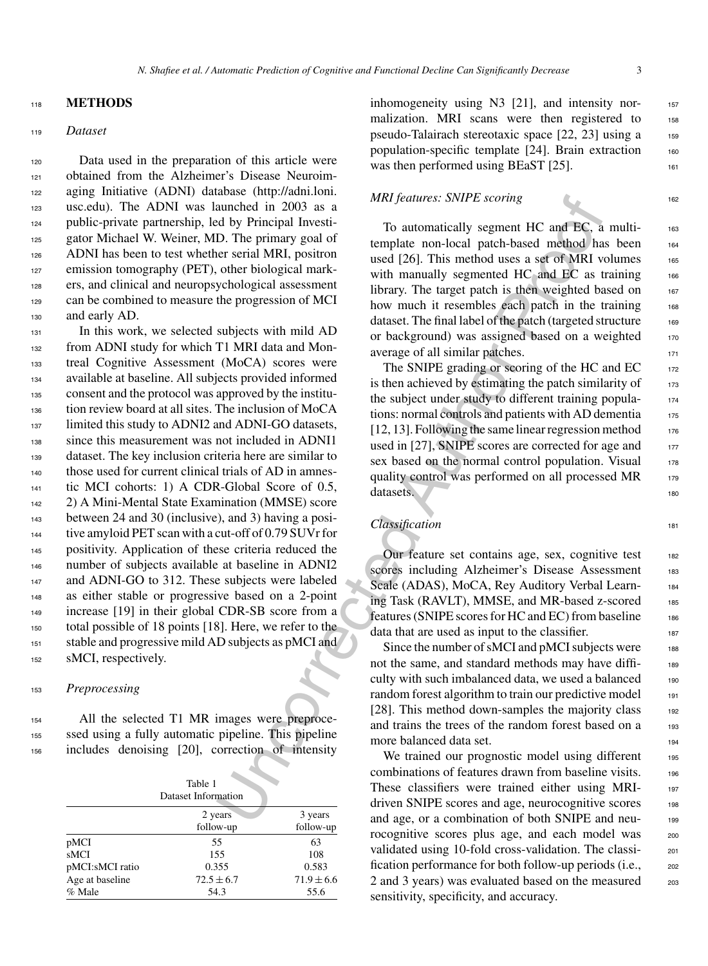#### <sup>118</sup> **METHODS**

#### <sup>119</sup> *Dataset*

 Data used in the preparation of this article were obtained from the Alzheimer's Disease Neuroim- aging Initiative (ADNI) database ([http://adni.loni.](http://adni.loni.usc.edu) usc.edu). The ADNI was launched in 2003 as a public-private partnership, led by Principal Investi-125 gator Michael W. Weiner, MD. The primary goal of ADNI has been to test whether serial MRI, positron 127 emission tomography (PET), other biological mark- ers, and clinical and neuropsychological assessment can be combined to measure the progression of MCI and early AD.

Matters: SNIPE scoring<br>
annothed in 2003 as a<br>
drawn-hed in 2003 as a<br>
and and permain linestic. The permany goal of<br>
Tensimany goal of<br>
remplate non-local patch-based method has<br>
contributed (26). This method uses a set o In this work, we selected subjects with mild AD from ADNI study for which T1 MRI data and Mon- treal Cognitive Assessment (MoCA) scores were available at baseline. All subjects provided informed consent and the protocol was approved by the institu- tion review board at all sites. The inclusion of MoCA <sup>137</sup> limited this study to ADNI2 and ADNI-GO datasets, since this measurement was not included in ADNI1 dataset. The key inclusion criteria here are similar to those used for current clinical trials of AD in amnes- tic MCI cohorts: 1) A CDR-Global Score of 0.5, 2) A Mini-Mental State Examination (MMSE) score between 24 and 30 (inclusive), and 3) having a posi- tive amyloid PET scan with a cut-off of 0.79 SUVr for positivity. Application of these criteria reduced the number of subjects available at baseline in ADNI2 147 and ADNI-GO to 312. These subjects were labeled as either stable or progressive based on a 2-point increase [19] in their global CDR-SB score from a total possible of 18 points [18]. Here, we refer to the stable and progressive mild AD subjects as pMCI and 152 sMCI, respectively.

#### <sup>153</sup> *Preprocessing*

<sup>154</sup> All the selected T1 MR images were preproce-<sup>155</sup> ssed using a fully automatic pipeline. This pipeline <sup>156</sup> includes denoising [20], correction of intensity

|                 | Table 1<br>Dataset Information |                |
|-----------------|--------------------------------|----------------|
|                 | 2 years                        | 3 years        |
|                 | follow-up                      | follow-up      |
| pMCI            | 55                             | 63             |
| sMCI            | 155                            | 108            |
| pMCI:sMCI ratio | 0.355                          | 0.583          |
| Age at baseline | $72.5 \pm 6.7$                 | $71.9 \pm 6.6$ |
| % Male          | 54.3                           | 55.6           |

inhomogeneity using N3 [21], and intensity normalization. MRI scans were then registered to 158 pseudo-Talairach stereotaxic space [22, 23] using a <sup>159</sup> population-specific template [24]. Brain extraction 160 was then performed using  $BEaST$  [25].

#### *MRI features: SNIPE scoring* 162

To automatically segment HC and EC, a multitemplate non-local patch-based method has been 164 used [26]. This method uses a set of MRI volumes  $165$ with manually segmented HC and EC as training 166 library. The target patch is then weighted based on  $167$ how much it resembles each patch in the training 168 dataset. The final label of the patch (targeted structure 169 or background) was assigned based on a weighted 170 average of all similar patches.

The SNIPE grading or scoring of the HC and  $EC_{172}$ is then achieved by estimating the patch similarity of  $173$ the subject under study to different training popula-<br>174 tions: normal controls and patients with AD dementia 175  $[12, 13]$ . Following the same linear regression method  $176$ used in [27], SNIPE scores are corrected for age and  $177$ sex based on the normal control population. Visual 178 quality control was performed on all processed MR 179 datasets.

## *Classification* 181

Our feature set contains age, sex, cognitive test 182 scores including Alzheimer's Disease Assessment 183 Scale (ADAS), MoCA, Rey Auditory Verbal Learn-<br>184 ing Task (RAVLT), MMSE, and MR-based z-scored 185 features (SNIPE scores for HC and EC) from baseline 186 data that are used as input to the classifier.

Since the number of sMCI and  $pMCI$  subjects were  $188$ not the same, and standard methods may have difficulty with such imbalanced data, we used a balanced 190 random forest algorithm to train our predictive model 191 [28]. This method down-samples the majority class 192 and trains the trees of the random forest based on a 193 more balanced data set.

We trained our prognostic model using different 195 combinations of features drawn from baseline visits. 196 These classifiers were trained either using MRI- <sup>197</sup> driven SNIPE scores and age, neurocognitive scores 198 and age, or a combination of both SNIPE and neu- <sup>199</sup> rocognitive scores plus age, and each model was 200 validated using 10-fold cross-validation. The classification performance for both follow-up periods (i.e., 202 2 and 3 years) was evaluated based on the measured 203 sensitivity, specificity, and accuracy.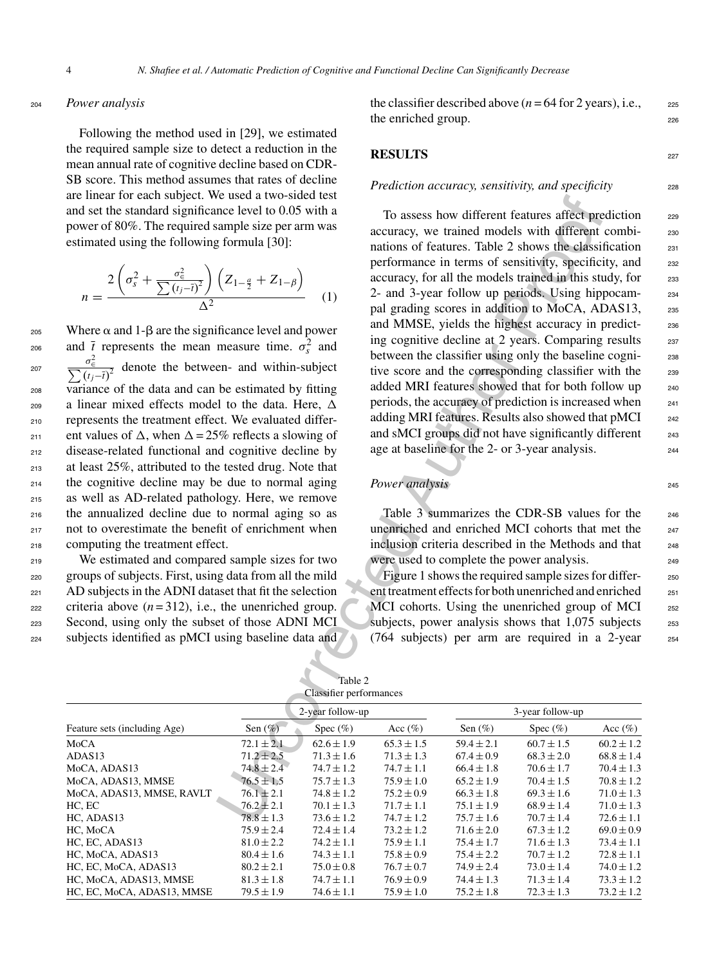#### <sup>204</sup> *Power analysis*

Following the method used in [29], we estimated the required sample size to detect a reduction in the mean annual rate of cognitive decline based on CDR-SB score. This method assumes that rates of decline are linear for each subject. We used a two-sided test and set the standard significance level to 0.05 with a power of 80%. The required sample size per arm was estimated using the following formula [30]:

$$
n = \frac{2\left(\sigma_s^2 + \frac{\sigma_\epsilon^2}{\sum (t_j - \overline{t})^2}\right)\left(Z_{1-\frac{a}{2}} + Z_{1-\beta}\right)}{\Delta^2} \tag{1}
$$

Equal to Where  $\alpha$  and 1- $\beta$  are the significance level and power 206 and  $\bar{t}$  represents the mean measure time.  $\sigma_s^2$  and <sup>207</sup>  $\frac{\sigma_{\epsilon}^2}{\sum (t_j - \bar{t})^2}$  denote the between- and within-subject variance of the data and can be estimated by fitting 209 a linear mixed effects model to the data. Here,  $\Delta$  represents the treatment effect. We evaluated differ-211 ent values of  $\Delta$ , when  $\Delta = 25\%$  reflects a slowing of disease-related functional and cognitive decline by at least 25%, attributed to the tested drug. Note that the cognitive decline may be due to normal aging as well as AD-related pathology. Here, we remove the annualized decline due to normal aging so as not to overestimate the benefit of enrichment when computing the treatment effect.

 We estimated and compared sample sizes for two groups of subjects. First, using data from all the mild AD subjects in the ADNI dataset that fit the selection eze criteria above  $(n=312)$ , i.e., the unenriched group. Second, using only the subset of those ADNI MCI subjects identified as pMCI using baseline data and the classifier described above  $(n = 64$  for 2 years), i.e.,  $225$ the enriched group. 226

#### **RESULTS** <sup>227</sup>

#### *Prediction accuracy, sensitivity, and specificity* 228

e used a two-stoate test on the magnificant states affect pre-<br>
ended at two-stock test on the same of catterns. Table 2 shows the distance level to 0.05 with a<br>
performance in terms of sensitivity, specificity<br>
formula [ To assess how different features affect prediction 229 accuracy, we trained models with different combi- <sup>230</sup> nations of features. Table 2 shows the classification <sub>231</sub> performance in terms of sensitivity, specificity, and 232 accuracy, for all the models trained in this study, for 233 2- and 3-year follow up periods. Using hippocam- <sup>234</sup> pal grading scores in addition to MoCA, ADAS13, 235 and MMSE, yields the highest accuracy in predict-<br>236 ing cognitive decline at 2 years. Comparing results 237 between the classifier using only the baseline cogni-<br>238 tive score and the corresponding classifier with the 239 added MRI features showed that for both follow up 240 periods, the accuracy of prediction is increased when <sup>241</sup> adding MRI features. Results also showed that pMCI <sup>242</sup> and sMCI groups did not have significantly different <sub>243</sub> age at baseline for the 2- or 3-year analysis. <sup>244</sup>

# *Power analysis* 245

Table 3 summarizes the CDR-SB values for the 246 unenriched and enriched MCI cohorts that met the  $_{247}$ inclusion criteria described in the Methods and that 248 were used to complete the power analysis.

Figure 1 shows the required sample sizes for differ-<br>250 ent treatment effects for both unenriched and enriched <sub>251</sub> MCI cohorts. Using the unenriched group of MCI 252 subjects, power analysis shows that  $1,075$  subjects  $253$ (764 subjects) per arm are required in a 2-year  $254$ 

Table 2

| Classifier performances      |                |                  |                |                |                  |                |  |  |  |
|------------------------------|----------------|------------------|----------------|----------------|------------------|----------------|--|--|--|
|                              |                | 2-year follow-up |                |                | 3-year follow-up |                |  |  |  |
| Feature sets (including Age) | Sen $(\%)$     | Spec $(\%)$      | Acc $(\% )$    | Sen $(\%)$     | Spec $(\%)$      | Acc $(\%)$     |  |  |  |
| MoCA                         | $72.1 \pm 2.1$ | $62.6 \pm 1.9$   | $65.3 \pm 1.5$ | $59.4 \pm 2.1$ | $60.7 \pm 1.5$   | $60.2 \pm 1.2$ |  |  |  |
| ADAS13                       | $71.2 \pm 2.5$ | $71.3 \pm 1.6$   | $71.3 \pm 1.3$ | $67.4 \pm 0.9$ | $68.3 \pm 2.0$   | $68.8 \pm 1.4$ |  |  |  |
| MoCA, ADAS13                 | $74.8 \pm 2.4$ | $74.7 \pm 1.2$   | $74.7 \pm 1.1$ | $66.4 \pm 1.8$ | $70.6 \pm 1.7$   | $70.4 \pm 1.3$ |  |  |  |
| MoCA, ADAS13, MMSE           | $76.5 \pm 1.5$ | $75.7 \pm 1.3$   | $75.9 \pm 1.0$ | $65.2 \pm 1.9$ | $70.4 \pm 1.5$   | $70.8 \pm 1.2$ |  |  |  |
| MoCA, ADAS13, MMSE, RAVLT    | $76.1 \pm 2.1$ | $74.8 \pm 1.2$   | $75.2 \pm 0.9$ | $66.3 \pm 1.8$ | $69.3 \pm 1.6$   | $71.0 \pm 1.3$ |  |  |  |
| HC, EC                       | $76.2 \pm 2.1$ | $70.1 \pm 1.3$   | $71.7 \pm 1.1$ | $75.1 \pm 1.9$ | $68.9 \pm 1.4$   | $71.0 \pm 1.3$ |  |  |  |
| HC, ADAS13                   | $78.8 \pm 1.3$ | $73.6 \pm 1.2$   | $74.7 \pm 1.2$ | $75.7 \pm 1.6$ | $70.7 \pm 1.4$   | $72.6 \pm 1.1$ |  |  |  |
| HC. MoCA                     | $75.9 \pm 2.4$ | $72.4 \pm 1.4$   | $73.2 \pm 1.2$ | $71.6 \pm 2.0$ | $67.3 \pm 1.2$   | $69.0 \pm 0.9$ |  |  |  |
| HC, EC, ADAS13               | $81.0 \pm 2.2$ | $74.2 \pm 1.1$   | $75.9 \pm 1.1$ | $75.4 \pm 1.7$ | $71.6 \pm 1.3$   | $73.4 \pm 1.1$ |  |  |  |
| HC, MoCA, ADAS13             | $80.4 \pm 1.6$ | $74.3 \pm 1.1$   | $75.8 \pm 0.9$ | $75.4 \pm 2.2$ | $70.7 \pm 1.2$   | $72.8 \pm 1.1$ |  |  |  |
| HC, EC, MoCA, ADAS13         | $80.2 \pm 2.1$ | $75.0 \pm 0.8$   | $76.7 \pm 0.7$ | $74.9 \pm 2.4$ | $73.0 \pm 1.4$   | $74.0 \pm 1.2$ |  |  |  |
| HC, MoCA, ADAS13, MMSE       | $81.3 \pm 1.8$ | $74.7 \pm 1.1$   | $76.9 \pm 0.9$ | $74.4 \pm 1.3$ | $71.3 \pm 1.4$   | $73.3 \pm 1.2$ |  |  |  |
| HC. EC. MoCA. ADAS13. MMSE   | $79.5 \pm 1.9$ | $74.6 \pm 1.1$   | $75.9 \pm 1.0$ | $75.2 \pm 1.8$ | $72.3 \pm 1.3$   | $73.2 \pm 1.2$ |  |  |  |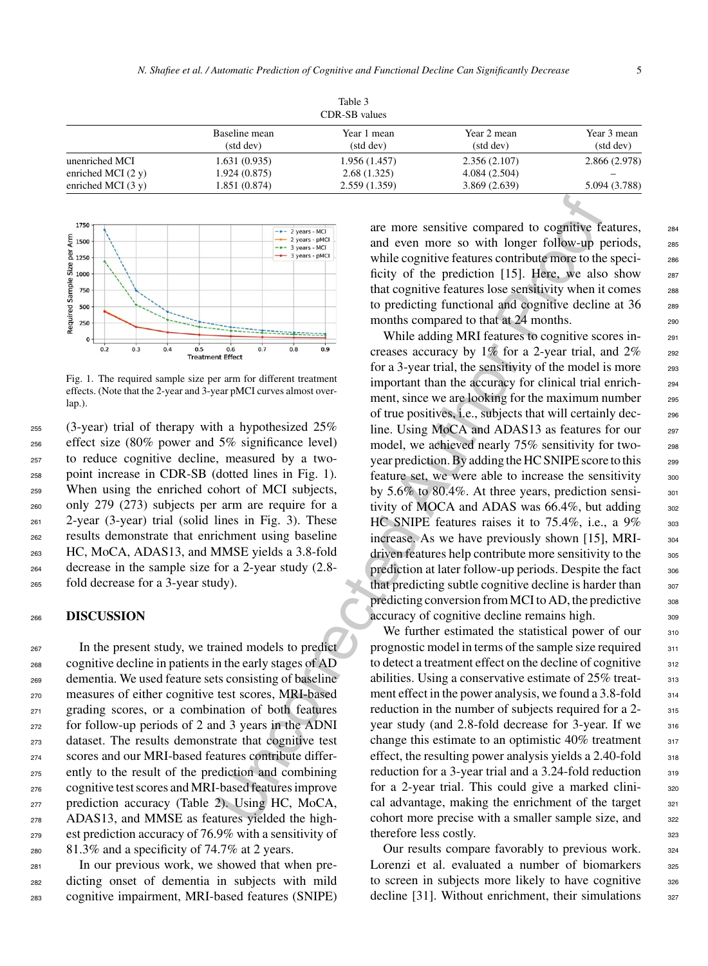| Table 3<br>CDR-SB values     |                            |                          |                          |                          |  |  |  |
|------------------------------|----------------------------|--------------------------|--------------------------|--------------------------|--|--|--|
|                              | Baseline mean<br>(std dev) | Year 1 mean<br>(std dev) | Year 2 mean<br>(std dev) | Year 3 mean<br>(std dev) |  |  |  |
| unenriched MCI               | 1.631(0.935)               | 1.956 (1.457)            | 2.356(2.107)             | 2.866 (2.978)            |  |  |  |
| enriched MCI $(2 \text{ y})$ | 1.924(0.875)               | 2.68(1.325)              | 4.084(2.504)             |                          |  |  |  |
| enriched MCI $(3 \text{ y})$ | 1.851 (0.874)              | 2.559(1.359)             | 3.869(2.639)             | 5.094 (3.788)            |  |  |  |



Fig. 1. The required sample size per arm for different treatment effects. (Note that the 2-year and 3-year pMCI curves almost overlap.).

 (3-year) trial of therapy with a hypothesized 25% effect size (80% power and 5% significance level) to reduce cognitive decline, measured by a two- point increase in CDR-SB (dotted lines in Fig. 1). When using the enriched cohort of MCI subjects, only 279 (273) subjects per arm are require for a 2-year (3-year) trial (solid lines in Fig. 3). These results demonstrate that enrichment using baseline HC, MoCA, ADAS13, and MMSE yields a 3.8-fold decrease in the sample size for a 2-year study (2.8- fold decrease for a 3-year study).

#### <sup>266</sup> **DISCUSSION**

 In the present study, we trained models to predict cognitive decline in patients in the early stages of AD dementia. We used feature sets consisting of baseline measures of either cognitive test scores, MRI-based grading scores, or a combination of both features for follow-up periods of 2 and 3 years in the ADNI dataset. The results demonstrate that cognitive test scores and our MRI-based features contribute differ- ently to the result of the prediction and combining cognitive test scores and MRI-based features improve prediction accuracy (Table 2). Using HC, MoCA, ADAS13, and MMSE as features yielded the high- est prediction accuracy of 76.9% with a sensitivity of 81.3% and a specificity of 74.7% at 2 years.

<sup>281</sup> In our previous work, we showed that when pre-<sup>282</sup> dicting onset of dementia in subjects with mild <sup>283</sup> cognitive impairment, MRI-based features (SNIPE) are more sensitive compared to cognitive features, <sup>284</sup> and even more so with longer follow-up periods, 285 while cognitive features contribute more to the speci-<br>286 ficity of the prediction  $[15]$ . Here, we also show 287 that cognitive features lose sensitivity when it comes 288 to predicting functional and cognitive decline at 36 <sub>289</sub> months compared to that at 24 months.

The space of the product of the product of the matter is the constrained the constrained  $\frac{1}{2}$ . Hence, we also the space of the space of the product of the product of the product of the product of the product of the p While adding MRI features to cognitive scores increases accuracy by  $1\%$  for a 2-year trial, and  $2\%$  292 for a 3-year trial, the sensitivity of the model is more 293 important than the accuracy for clinical trial enrich- <sup>294</sup> ment, since we are looking for the maximum number 295 of true positives, i.e., subjects that will certainly dec- <sup>296</sup> line. Using MoCA and ADAS13 as features for our 297 model, we achieved nearly 75% sensitivity for twoyear prediction. By adding the HC SNIPE score to this 299 feature set, we were able to increase the sensitivity <sub>300</sub> by  $5.6\%$  to  $80.4\%$ . At three years, prediction sensi-<br>301 tivity of MOCA and ADAS was  $66.4\%$ , but adding  $302$ HC SNIPE features raises it to  $75.4\%$ , i.e., a  $9\%$  303 increase. As we have previously shown [15], MRI- 304 driven features help contribute more sensitivity to the <sub>305</sub> prediction at later follow-up periods. Despite the fact  $306$ that predicting subtle cognitive decline is harder than  $307$ predicting conversion from MCI to AD, the predictive  $308$ accuracy of cognitive decline remains high. 309

We further estimated the statistical power of our 310 prognostic model in terms of the sample size required  $311$ to detect a treatment effect on the decline of cognitive  $312$ abilities. Using a conservative estimate of 25% treat-<br>313 ment effect in the power analysis, we found a 3.8-fold  $314$ reduction in the number of subjects required for a 2- 315 year study (and 2.8-fold decrease for 3-year. If we 316 change this estimate to an optimistic  $40\%$  treatment  $317$ effect, the resulting power analysis yields a  $2.40$ -fold  $318$ reduction for a 3-year trial and a  $3.24$ -fold reduction  $3.99$ for a 2-year trial. This could give a marked clini-<br>320 cal advantage, making the enrichment of the target  $321$ cohort more precise with a smaller sample size, and 322 therefore less costly. 323

Our results compare favorably to previous work. 324 Lorenzi et al. evaluated a number of biomarkers  $325$ to screen in subjects more likely to have cognitive 326 decline  $[31]$ . Without enrichment, their simulations  $327$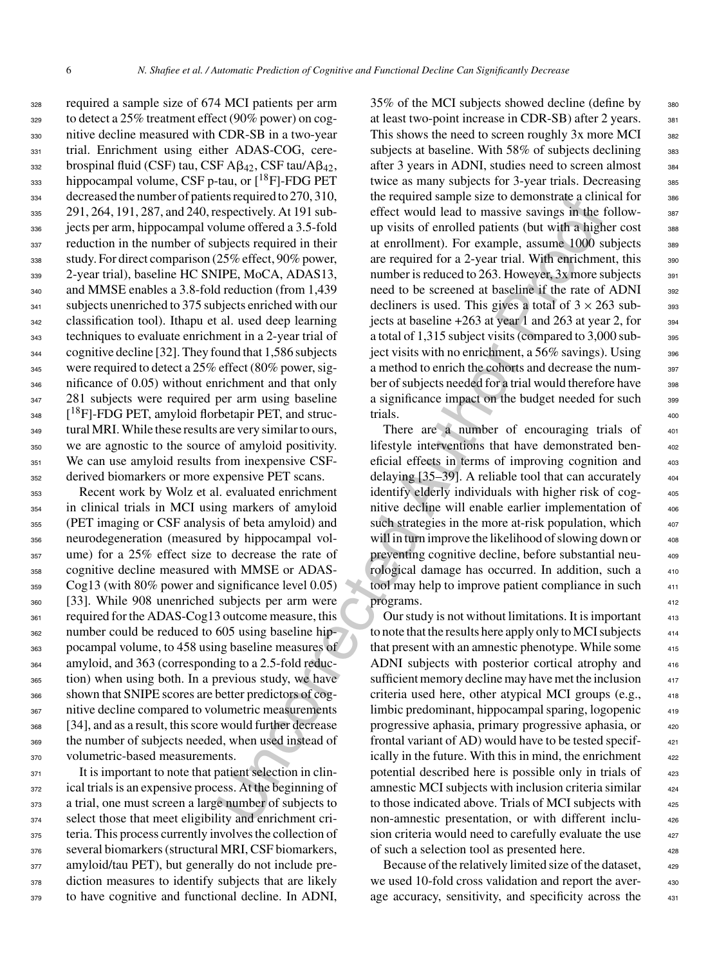required a sample size of 674 MCI patients per arm to detect a 25% treatment effect (90% power) on cog- nitive decline measured with CDR-SB in a two-year 331 trial. Enrichment using either ADAS-COG, cere-332 brospinal fluid (CSF) tau, CSF  $\mathsf{A}\beta_{42}$ , CSF tau/ $\mathsf{A}\beta_{42}$ ,  $_{333}$  hippocampal volume, CSF p-tau, or  $[{}^{18}F]$ -FDG PET decreased the number of patients required to 270, 310, 291, 264, 191, 287, and 240, respectively. At 191 sub- jects per arm, hippocampal volume offered a 3.5-fold 337 reduction in the number of subjects required in their study. For direct comparison (25% effect, 90% power, 2-year trial), baseline HC SNIPE, MoCA, ADAS13, and MMSE enables a 3.8-fold reduction (from 1,439 subjects unenriched to 375 subjects enriched with our classification tool). Ithapu et al. used deep learning techniques to evaluate enrichment in a 2-year trial of cognitive decline [32]. They found that 1,586 subjects were required to detect a 25% effect (80% power, sig-346 nificance of 0.05) without enrichment and that only 281 subjects were required per arm using baseline  $1^{18}$ F]-FDG PET, amyloid florbetapir PET, and struc- tural MRI. While these results are very similar to ours, we are agnostic to the source of amyloid positivity. We can use amyloid results from inexpensive CSF-derived biomarkers or more expensive PET scans.

 Recent work by Wolz et al. evaluated enrichment in clinical trials in MCI using markers of amyloid (PET imaging or CSF analysis of beta amyloid) and neurodegeneration (measured by hippocampal vol- ume) for a 25% effect size to decrease the rate of cognitive decline measured with MMSE or ADAS- Cog13 (with 80% power and significance level 0.05) [33]. While 908 unenriched subjects per arm were 361 required for the ADAS-Cog13 outcome measure, this number could be reduced to 605 using baseline hip- pocampal volume, to 458 using baseline measures of amyloid, and 363 (corresponding to a 2.5-fold reduc- tion) when using both. In a previous study, we have shown that SNIPE scores are better predictors of cog- nitive decline compared to volumetric measurements [34], and as a result, this score would further decrease the number of subjects needed, when used instead of volumetric-based measurements.

 is important to note that patient selection in clin- ical trials is an expensive process. At the beginning of a trial, one must screen a large number of subjects to select those that meet eligibility and enrichment cri- teria. This process currently involves the collection of several biomarkers (structural MRI, CSF biomarkers, amyloid/tau PET), but generally do not include pre- diction measures to identify subjects that are likely to have cognitive and functional decline. In ADNI,

Intersequent of 2.70, 101, the required samples ize to denomistrate a climate spectricle) At 191 sub-<br>effect would lead to massive savings in the log-<br>aspectricle). At 191 sub-<br>offect would lead to massive savings in the 35% of the MCI subjects showed decline (define by  $35\%$ at least two-point increase in CDR-SB) after 2 years. 381 This shows the need to screen roughly 3x more MCI 382 subjects at baseline. With  $58\%$  of subjects declining  $383$ after 3 years in ADNI, studies need to screen almost <sup>384</sup> twice as many subjects for 3-year trials. Decreasing 385 the required sample size to demonstrate a clinical for 386 effect would lead to massive savings in the followup visits of enrolled patients (but with a higher cost at enrollment). For example, assume 1000 subjects 389 are required for a 2-year trial. With enrichment, this 390 number is reduced to 263. However,  $3x$  more subjects  $391$ need to be screened at baseline if the rate of ADNI 392 decliners is used. This gives a total of  $3 \times 263$  subjects at baseline  $+263$  at year 1 and 263 at year 2, for  $\qquad$  394 a total of 1,315 subject visits (compared to 3,000 sub-<br><sub>395</sub> ject visits with no enrichment, a  $56\%$  savings). Using  $396$ a method to enrich the cohorts and decrease the num-<br>397 ber of subjects needed for a trial would therefore have a significance impact on the budget needed for such 399 trials. 400

There are a number of encouraging trials of lifestyle interventions that have demonstrated ben-<br>eficial effects in terms of improving cognition and 403 delaying [35–39]. A reliable tool that can accurately identify elderly individuals with higher risk of cog nitive decline will enable earlier implementation of  $\qquad$ such strategies in the more at-risk population, which will in turn improve the likelihood of slowing down or preventing cognitive decline, before substantial neurological damage has occurred. In addition, such a 410 tool may help to improve patient compliance in such programs. <sup>412</sup>

Our study is not without limitations. It is important to note that the results here apply only to MCI subjects that present with an amnestic phenotype. While some ADNI subjects with posterior cortical atrophy and 416 sufficient memory decline may have met the inclusion criteria used here, other atypical MCI groups (e.g., <sup>418</sup> limbic predominant, hippocampal sparing, logopenic 419 progressive aphasia, primary progressive aphasia, or frontal variant of AD) would have to be tested specif- <sup>421</sup> ically in the future. With this in mind, the enrichment potential described here is possible only in trials of  $\qquad$ amnestic MCI subjects with inclusion criteria similar to those indicated above. Trials of MCI subjects with non-amnestic presentation, or with different inclusion criteria would need to carefully evaluate the use of such a selection tool as presented here.

Because of the relatively limited size of the dataset, we used 10-fold cross validation and report the average accuracy, sensitivity, and specificity across the 431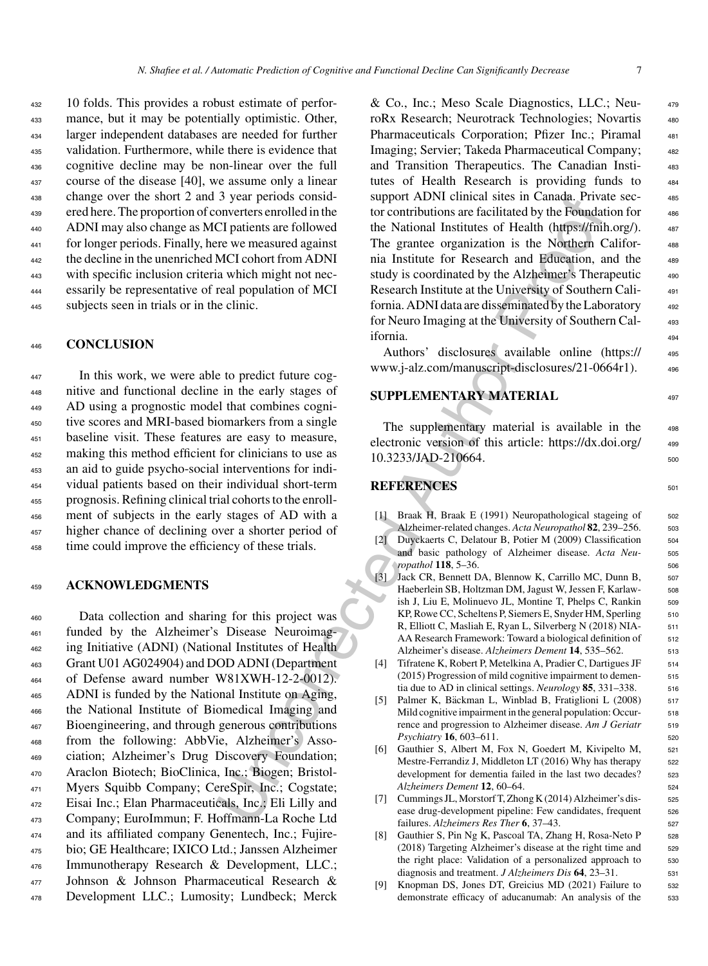10 folds. This provides a robust estimate of perfor- mance, but it may be potentially optimistic. Other, larger independent databases are needed for further validation. Furthermore, while there is evidence that cognitive decline may be non-linear over the full course of the disease [40], we assume only a linear change over the short 2 and 3 year periods consid- ered here. The proportion of converters enrolled in the ADNI may also change as MCI patients are followed for longer periods. Finally, here we measured against the decline in the unenriched MCI cohort from ADNI with specific inclusion criteria which might not nec- essarily be representative of real population of MCI subjects seen in trials or in the clinic.

#### <sup>446</sup> **CONCLUSION**

 In this work, we were able to predict future cog- nitive and functional decline in the early stages of AD using a prognostic model that combines cogni- tive scores and MRI-based biomarkers from a single baseline visit. These features are easy to measure, making this method efficient for clinicians to use as an aid to guide psycho-social interventions for indi- vidual patients based on their individual short-term prognosis. Refining clinical trial cohorts to the enroll- ment of subjects in the early stages of AD with a higher chance of declining over a shorter period of time could improve the efficiency of these trials.

#### <sup>459</sup> **ACKNOWLEDGMENTS**

 Data collection and sharing for this project was funded by the Alzheimer's Disease Neuroimag- ing Initiative (ADNI) (National Institutes of Health Grant U01 AG024904) and DOD ADNI (Department of Defense award number W81XWH-12-2-0012). ADNI is funded by the National Institute on Aging, the National Institute of Biomedical Imaging and Bioengineering, and through generous contributions from the following: AbbVie, Alzheimer's Asso- ciation; Alzheimer's Drug Discovery Foundation; Araclon Biotech; BioClinica, Inc.; Biogen; Bristol- Myers Squibb Company; CereSpir, Inc.; Cogstate; Eisai Inc.; Elan Pharmaceuticals, Inc.; Eli Lilly and Company; EuroImmun; F. Hoffmann-La Roche Ltd and its affiliated company Genentech, Inc.; Fujire- bio; GE Healthcare; IXICO Ltd.; Janssen Alzheimer Immunotherapy Research & Development, LLC.; Johnson & Johnson Pharmaceutical Research & Development LLC.; Lumosity; Lundbeck; Merck

3 year penots consider a the National states in Canada. Prive and the National states in CI caliests are followed the National Institute of Health (https://formericted CI caliests are followed the National Institute of Ne & Co., Inc.; Meso Scale Diagnostics, LLC.; Neu- <sup>479</sup> roRx Research; Neurotrack Technologies; Novartis 480 Pharmaceuticals Corporation; Pfizer Inc.; Piramal 481 Imaging; Servier; Takeda Pharmaceutical Company; <sup>482</sup> and Transition Therapeutics. The Canadian Insti- <sup>483</sup> tutes of Health Research is providing funds to  $484$ support ADNI clinical sites in Canada. Private sec-<br>485 tor contributions are facilitated by the Foundation for  $486$ the National Institutes of Health (https://fnih.org/). 487 The grantee organization is the Northern Califor-<br>488 nia Institute for Research and Education, and the 489 study is coordinated by the Alzheimer's Therapeutic 490 Research Institute at the University of Southern Cali- <sup>491</sup> fornia. ADNI data are disseminated by the Laboratory 492 for Neuro Imaging at the University of Southern Cal- <sup>493</sup> ifornia. <sup>494</sup>

Authors' disclosures available online (https:// 495 www.j-alz.com/manuscript-disclosures/21-0664r1). <sup>496</sup>

## **SUPPLEMENTARY MATERIAL** 497

The supplementary material is available in the 498 electronic version of this article: [https://dx.doi.org/](https://dx.doi.org/10.3233/JAD-210664)  $499$ 10.3233/JAD-210664. 500

# **REFERENCES** 501

- [1] Braak H, Braak E (1991) Neuropathological stageing of 502 Alzheimer-related changes. *Acta Neuropathol* **82**, 239–256. <sup>503</sup>
- [2] Duyckaerts C, Delatour B, Potier M (2009) Classification 504 and basic pathology of Alzheimer disease. Acta Neu-<br>505 *ropathol* **118**, 5–36. 506
- [3] Jack CR, Bennett DA, Blennow K, Carrillo MC, Dunn B, 507 Haeberlein SB, Holtzman DM, Jagust W, Jessen F, Karlaw- 508 ish J, Liu E, Molinuevo JL, Montine T, Phelps C, Rankin 509 KP, Rowe CC, Scheltens P, Siemers E, Snyder HM, Sperling 510 R, Elliott C, Masliah E, Ryan L, Silverberg N (2018) NIA- 511 AA Research Framework: Toward a biological definition of 512 Alzheimer's disease. *Alzheimers Dement* **14**, 535–562. <sup>513</sup>
- [4] Tifratene K, Robert P, Metelkina A, Pradier C, Dartigues JF 514 (2015) Progression of mild cognitive impairment to demen- <sup>515</sup> tia due to AD in clinical settings. *Neurology* 85, 331–338. 516
- [5] Palmer K, Bäckman L, Winblad B, Fratiglioni L (2008) 517 Mild cognitive impairment in the general population: Occur<sub>518</sub> rence and progression to Alzheimer disease. Am J Geriatr 519 *Psychiatry* **16**, 603–611. 520
- [6] Gauthier S, Albert M, Fox N, Goedert M, Kivipelto M, 521 Mestre-Ferrandiz J, Middleton LT (2016) Why has therapy 522 development for dementia failed in the last two decades? 523 *Alzheimers Dement* **12**, 60–64. <sup>524</sup>
- [7] Cummings JL, Morstorf T, Zhong K (2014) Alzheimer's dis- 525 ease drug-development pipeline: Few candidates, frequent 526 failures. *Alzheimers Res Ther* **6**, 37–43. <sup>527</sup>
- [8] Gauthier S, Pin Ng K, Pascoal TA, Zhang H, Rosa-Neto P 528 (2018) Targeting Alzheimer's disease at the right time and 529 the right place: Validation of a personalized approach to 530 diagnosis and treatment. *J Alzheimers Dis* **64**, 23–31. <sup>531</sup>
- [9] Knopman DS, Jones DT, Greicius MD (2021) Failure to 532 demonstrate efficacy of aducanumab: An analysis of the 533